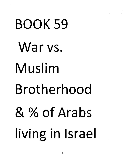# BOOK 59 War vs. Muslim Brotherhood & % of Arabs living in Israel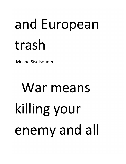#### and European trash

Moshe Siselsender

#### War means killing your enemy and all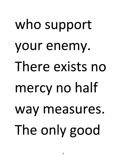## who support your enemy. There exists no mercy no half way measures. The only good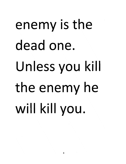#### enemy is the dead one. Unless you kill the enemy he will kill you.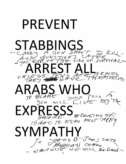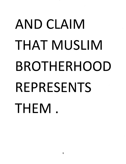#### AND CLAIM THAT MUSLIM BROTHERHOOD REPRESENTS THEM.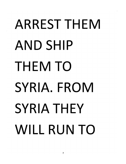#### ARREST THEM AND SHIP THEM TO SYRIA. FROM SYRIA THEY WILL RUN TO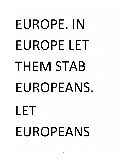# EUROPE. IN EUROPE LET THEM STAB EUROPEANS. LET EUROPEANS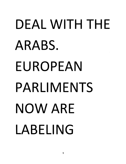#### DEAL WITH THE ARABS. EUROPEAN PARLIMENTS NOW ARE LABELING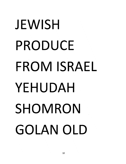#### **JEWISH**  PRODUCE FROM **ISRAEL**  YEHUDAH SHOMRON GOLAN OLD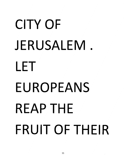## CITY OF JERUSALEM. LET EUROPEANS REAP THE FRUIT OF THEIR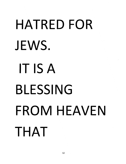# HATRED **FOR JEWS. IT IS A BLESSING**  FROM HEAVEN THAT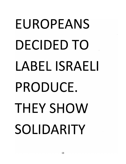### EUROPEANS DECIDED TO **LABEL ISRAELI**  PRODUCE. THEY SHOW SOLIDARITY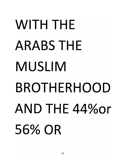## WITH THE ARABS THE MUSLIM BROTHERHOOD AND THE 44%or 56% OR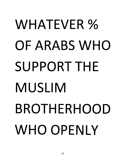#### **WHATEVER % OF ARABS** WHO **SUPPORTTHE MUSLIM BROTHERHOOD**  WHO **OPENLY**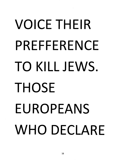#### VOICE **THEIR PREFFERENCE**  TO **KILL JEWS.**  THOSE EUROPEANS WHO DECLARE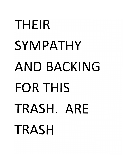#### THEIR SYMPATHY AND BACKING FOR THIS TRASH. ARE TRASH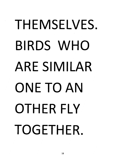#### THEMSELVES. BIRDS WHO ARE SIMILAR ONE TO AN OTHER FLY TOGETHER.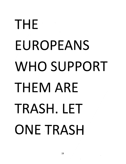#### **THE EUROPEANS**  WHO **SUPPORT THEM ARE TRASH. LET**  ONE TRASH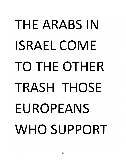#### THE ARABS IN ISRAEL COME TO THE OTHER TRASH THOSE EUROPEANS WHO SUPPORT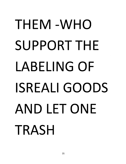#### THEM -WHO SUPPORT THE LABELING OF ISREALI GOODS AND LET ONE TRASH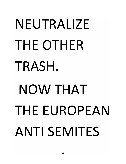# 531111\135 11NV NU3DO NU3DO NU3DO NU3DO NU3DO NU3DO NU3DO NU3DO NU3DO NU3DO NU3DO NU3DO NU3DO NU 1VH1MON  $\mathbf{F}$  $\blacksquare$ 1 JEIVIII LJ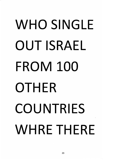#### WHO SINGLE OUT ISRAEL FROM 100 OTHER COUNTRIES WHRE THERE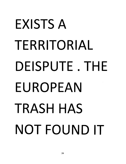#### EXISTS A TERRITORIAL DEISPUTE . THE EUROPEAN TRASH HAS NOT FOUND IT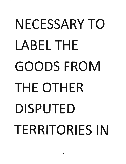#### **NECESSARY TO**  $\blacksquare$ **GOODS FROM**  $\frac{1}{\sqrt{2}}$ IL VIIILIV<br>|-<br>|- $\frac{3}{2}$ 01 A~VSS3J3 N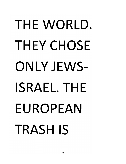#### THE WORLD. THEY CHOSE ONLY JEWS-ISRAEL. THE EUROPEAN TRASHIS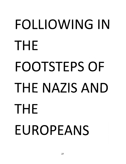# FOLLIOWING IN THE FOOTSTEPS OF THE NAZIS AND THE EUROPEANS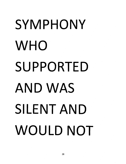## SYMPHONY WHO **SUPPORTED**  ANDWAS **SILENT** AND WOULD NOT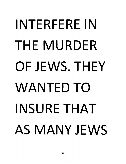#### INTERFERE IN THE MURDER OF JEWS. THEY WANTED TO INSURE THAT AS MANY JEWS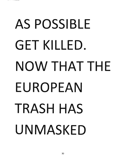#### AS POSSIBLE GET KILLED. NOW THAT THE EUROPEAN TRASH HAS UNMASKED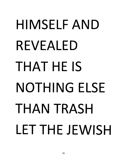#### HIMSELF AND REVEALED THAT HE IS NOTHING ELSE THAN TRASH LET THE JEWISH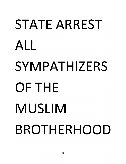#### **STATE ARREST ALL SYMPATHIZERS OFTHE MUSLIM BROTHERHOOD**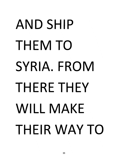#### AND SHIP THEM TO SYRIA. FROM THERE THEY WILL MAKE THEIR WAY TO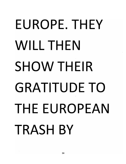#### EUROPE. THEY WILL THEN SHOW THEIR GRATITUDE TO THE EUROPEAN TRASH BY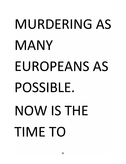# MURDERING AS MANY EUROPEANS AS **POSSIBLE.**  NOW **IS** THE TIME TO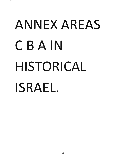#### ANNEX **AREAS**  C B **A IN HISTORICAL ISRAEL.**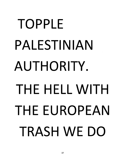## I UT F LL PALESTINIAN AUTHORITY. THE HELL WITH THE EUROPEAN TRASH WE DO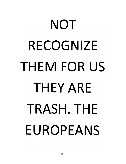### NOT RECOGNIZE THEM FOR US THEY ARE TRASH. THE EUROPEANS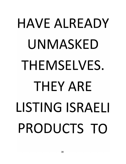#### **HAVE ALREADY** UNMASKED THEMSELVES. THEY ARF LISTING ISRAFI I PRODUCTS TO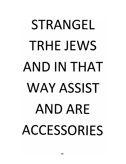#### STRANGEL TRHE JEWS AND IN THAT WAY ASSIST AND ARE ACCESSORIES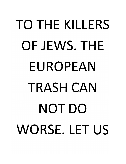#### TO THE KILLERS OF JEWS. THE EUROPEAN TRASH CAN NOT DO WORSE. LET US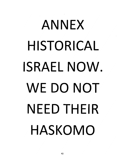#### ANNEX HISTORICAL ISRAEL NOW. WE DO NOT NEED THEIR HASKOMO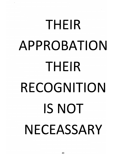#### **THEIR APPROBATION THEIR RECOGNITION IS** NOT **NECEASSARY**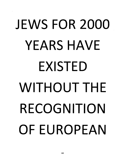#### JEWS FOR 2000 YEARS HAVE EXISTED WITHOUT THE RECOGNITION OF EUROPEAN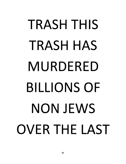#### TRASH THIS TRASH HAS MURDERED BILLIONS OF NON JEWS OVER THE LAST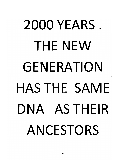#### 2000 YEARS. THE NEW GENERATION HAS THE SAME DNA AS THEIR ANCESTORS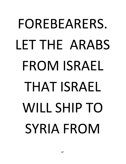#### FOREBEARERS. IFT THE ARABS FROM ISRAEL THAT ISRAEL WILL SHIP TO SYRIA FROM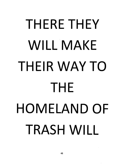#### THERE THEY WILL MAKE THEIR WAY TO THE HOMELAND OF TRASH WILL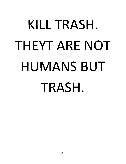#### **KILL** TRASH. THEYT ARE NOT HUMANS BUT TRASH.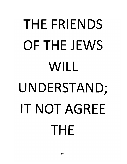#### THE FRIENDS OF THE JEWS WILL UNDERSTAND; IT NOT AGREE THE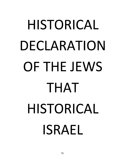#### HISTORICAL DECLARATION OF THE **JEWS**  THAT HISTORICAL **ISRAEL**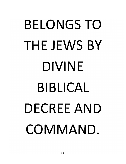#### **BELONGS TO THE JEWS BY DIVINE BIBLICAL DECREE** AND COMMAND.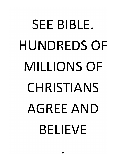#### SEE BIBLE. HUNDREDS OF MILLIONS OF CHRISTIANS AGREE AND BELIEVE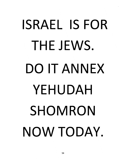# ISRAEL **IS** FOR THE JEWS. DO IT ANNEX YEHUDAH SHOMRON NOW TODAY.